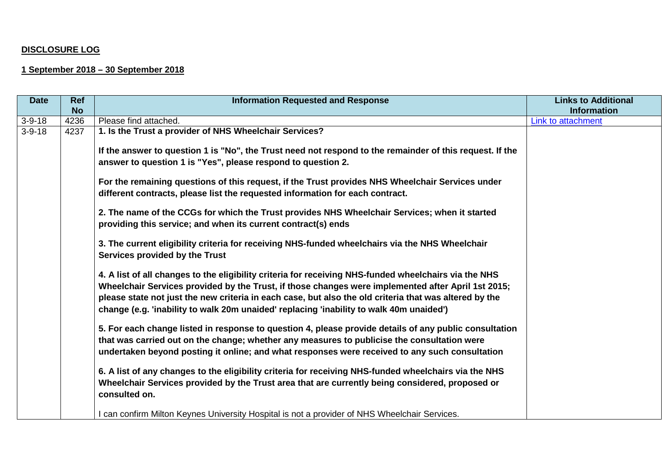## **DISCLOSURE LOG**

## **1 September 2018 – 30 September 2018**

| <b>Date</b>  | <b>Ref</b> | <b>Information Requested and Response</b>                                                                                                                                                                                                                                                                                                                                                                        | <b>Links to Additional</b> |
|--------------|------------|------------------------------------------------------------------------------------------------------------------------------------------------------------------------------------------------------------------------------------------------------------------------------------------------------------------------------------------------------------------------------------------------------------------|----------------------------|
|              | <b>No</b>  |                                                                                                                                                                                                                                                                                                                                                                                                                  | <b>Information</b>         |
| $3 - 9 - 18$ | 4236       | Please find attached.                                                                                                                                                                                                                                                                                                                                                                                            | Link to attachment         |
| $3 - 9 - 18$ | 4237       | 1. Is the Trust a provider of NHS Wheelchair Services?                                                                                                                                                                                                                                                                                                                                                           |                            |
|              |            | If the answer to question 1 is "No", the Trust need not respond to the remainder of this request. If the<br>answer to question 1 is "Yes", please respond to question 2.                                                                                                                                                                                                                                         |                            |
|              |            | For the remaining questions of this request, if the Trust provides NHS Wheelchair Services under<br>different contracts, please list the requested information for each contract.                                                                                                                                                                                                                                |                            |
|              |            | 2. The name of the CCGs for which the Trust provides NHS Wheelchair Services; when it started<br>providing this service; and when its current contract(s) ends                                                                                                                                                                                                                                                   |                            |
|              |            | 3. The current eligibility criteria for receiving NHS-funded wheelchairs via the NHS Wheelchair<br>Services provided by the Trust                                                                                                                                                                                                                                                                                |                            |
|              |            | 4. A list of all changes to the eligibility criteria for receiving NHS-funded wheelchairs via the NHS<br>Wheelchair Services provided by the Trust, if those changes were implemented after April 1st 2015;<br>please state not just the new criteria in each case, but also the old criteria that was altered by the<br>change (e.g. 'inability to walk 20m unaided' replacing 'inability to walk 40m unaided') |                            |
|              |            | 5. For each change listed in response to question 4, please provide details of any public consultation<br>that was carried out on the change; whether any measures to publicise the consultation were<br>undertaken beyond posting it online; and what responses were received to any such consultation                                                                                                          |                            |
|              |            | 6. A list of any changes to the eligibility criteria for receiving NHS-funded wheelchairs via the NHS<br>Wheelchair Services provided by the Trust area that are currently being considered, proposed or<br>consulted on.                                                                                                                                                                                        |                            |
|              |            | I can confirm Milton Keynes University Hospital is not a provider of NHS Wheelchair Services.                                                                                                                                                                                                                                                                                                                    |                            |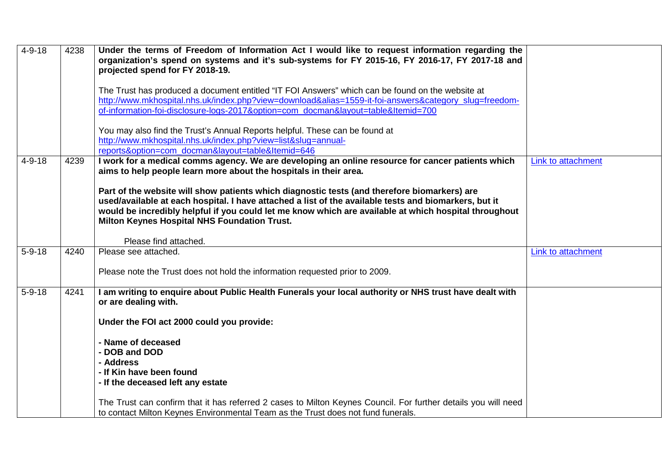| $4 - 9 - 18$ | 4238 | Under the terms of Freedom of Information Act I would like to request information regarding the<br>organization's spend on systems and it's sub-systems for FY 2015-16, FY 2016-17, FY 2017-18 and<br>projected spend for FY 2018-19.                                                                                                                          |                    |
|--------------|------|----------------------------------------------------------------------------------------------------------------------------------------------------------------------------------------------------------------------------------------------------------------------------------------------------------------------------------------------------------------|--------------------|
|              |      | The Trust has produced a document entitled "IT FOI Answers" which can be found on the website at<br>http://www.mkhospital.nhs.uk/index.php?view=download&alias=1559-it-foi-answers&category_slug=freedom-<br>of-information-foi-disclosure-logs-2017&option=com docman&layout=table&Itemid=700                                                                 |                    |
|              |      | You may also find the Trust's Annual Reports helpful. These can be found at<br>http://www.mkhospital.nhs.uk/index.php?view=list&slug=annual-<br>reports&option=com docman&layout=table&Itemid=646                                                                                                                                                              |                    |
| $4 - 9 - 18$ | 4239 | I work for a medical comms agency. We are developing an online resource for cancer patients which<br>aims to help people learn more about the hospitals in their area.                                                                                                                                                                                         | Link to attachment |
|              |      | Part of the website will show patients which diagnostic tests (and therefore biomarkers) are<br>used/available at each hospital. I have attached a list of the available tests and biomarkers, but it<br>would be incredibly helpful if you could let me know which are available at which hospital throughout<br>Milton Keynes Hospital NHS Foundation Trust. |                    |
|              |      | Please find attached.                                                                                                                                                                                                                                                                                                                                          |                    |
| $5 - 9 - 18$ | 4240 | Please see attached.                                                                                                                                                                                                                                                                                                                                           | Link to attachment |
|              |      | Please note the Trust does not hold the information requested prior to 2009.                                                                                                                                                                                                                                                                                   |                    |
| $5 - 9 - 18$ | 4241 | I am writing to enquire about Public Health Funerals your local authority or NHS trust have dealt with<br>or are dealing with.                                                                                                                                                                                                                                 |                    |
|              |      | Under the FOI act 2000 could you provide:                                                                                                                                                                                                                                                                                                                      |                    |
|              |      | - Name of deceased<br>- DOB and DOD                                                                                                                                                                                                                                                                                                                            |                    |
|              |      | - Address<br>- If Kin have been found                                                                                                                                                                                                                                                                                                                          |                    |
|              |      | - If the deceased left any estate                                                                                                                                                                                                                                                                                                                              |                    |
|              |      | The Trust can confirm that it has referred 2 cases to Milton Keynes Council. For further details you will need<br>to contact Milton Keynes Environmental Team as the Trust does not fund funerals.                                                                                                                                                             |                    |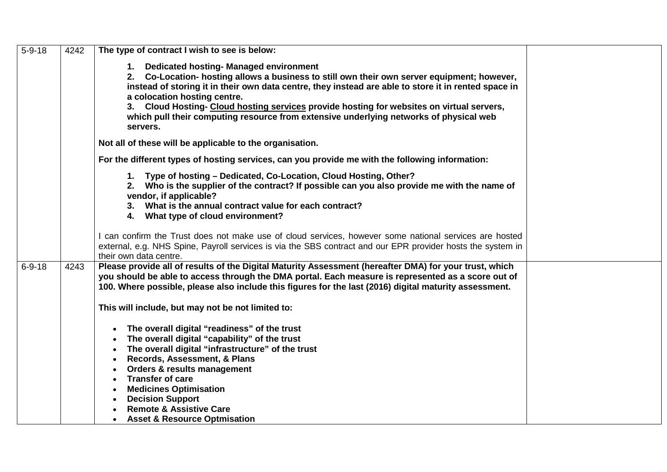| $5 - 9 - 18$ | 4242 | The type of contract I wish to see is below:                                                                                                                                                                                                                                                                                                                                                                                                                                                                   |  |
|--------------|------|----------------------------------------------------------------------------------------------------------------------------------------------------------------------------------------------------------------------------------------------------------------------------------------------------------------------------------------------------------------------------------------------------------------------------------------------------------------------------------------------------------------|--|
|              |      | 1. Dedicated hosting- Managed environment<br>2. Co-Location- hosting allows a business to still own their own server equipment; however,<br>instead of storing it in their own data centre, they instead are able to store it in rented space in<br>a colocation hosting centre.<br>3. Cloud Hosting- Cloud hosting services provide hosting for websites on virtual servers,<br>which pull their computing resource from extensive underlying networks of physical web<br>servers.                            |  |
|              |      | Not all of these will be applicable to the organisation.                                                                                                                                                                                                                                                                                                                                                                                                                                                       |  |
|              |      | For the different types of hosting services, can you provide me with the following information:                                                                                                                                                                                                                                                                                                                                                                                                                |  |
|              |      | 1. Type of hosting - Dedicated, Co-Location, Cloud Hosting, Other?<br>2. Who is the supplier of the contract? If possible can you also provide me with the name of<br>vendor, if applicable?<br>3. What is the annual contract value for each contract?<br>4. What type of cloud environment?                                                                                                                                                                                                                  |  |
|              |      | I can confirm the Trust does not make use of cloud services, however some national services are hosted<br>external, e.g. NHS Spine, Payroll services is via the SBS contract and our EPR provider hosts the system in<br>their own data centre.                                                                                                                                                                                                                                                                |  |
| $6 - 9 - 18$ | 4243 | Please provide all of results of the Digital Maturity Assessment (hereafter DMA) for your trust, which<br>you should be able to access through the DMA portal. Each measure is represented as a score out of<br>100. Where possible, please also include this figures for the last (2016) digital maturity assessment.                                                                                                                                                                                         |  |
|              |      | This will include, but may not be not limited to:                                                                                                                                                                                                                                                                                                                                                                                                                                                              |  |
|              |      | The overall digital "readiness" of the trust<br>$\bullet$<br>The overall digital "capability" of the trust<br>$\bullet$<br>The overall digital "infrastructure" of the trust<br>$\bullet$<br>Records, Assessment, & Plans<br>$\bullet$<br>Orders & results management<br>$\bullet$<br><b>Transfer of care</b><br>$\bullet$<br><b>Medicines Optimisation</b><br>$\bullet$<br><b>Decision Support</b><br>$\bullet$<br><b>Remote &amp; Assistive Care</b><br><b>Asset &amp; Resource Optmisation</b><br>$\bullet$ |  |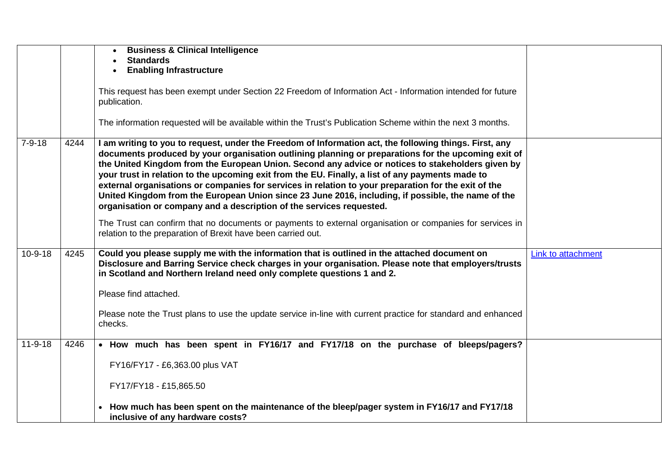|               |      | <b>Business &amp; Clinical Intelligence</b>                                                                                                                                                                                                                                                                                                                                                                                                                                                                                                                                                                                                                                                                  |                    |
|---------------|------|--------------------------------------------------------------------------------------------------------------------------------------------------------------------------------------------------------------------------------------------------------------------------------------------------------------------------------------------------------------------------------------------------------------------------------------------------------------------------------------------------------------------------------------------------------------------------------------------------------------------------------------------------------------------------------------------------------------|--------------------|
|               |      | <b>Standards</b>                                                                                                                                                                                                                                                                                                                                                                                                                                                                                                                                                                                                                                                                                             |                    |
|               |      | <b>Enabling Infrastructure</b>                                                                                                                                                                                                                                                                                                                                                                                                                                                                                                                                                                                                                                                                               |                    |
|               |      |                                                                                                                                                                                                                                                                                                                                                                                                                                                                                                                                                                                                                                                                                                              |                    |
|               |      | This request has been exempt under Section 22 Freedom of Information Act - Information intended for future<br>publication.                                                                                                                                                                                                                                                                                                                                                                                                                                                                                                                                                                                   |                    |
|               |      | The information requested will be available within the Trust's Publication Scheme within the next 3 months.                                                                                                                                                                                                                                                                                                                                                                                                                                                                                                                                                                                                  |                    |
| $7 - 9 - 18$  | 4244 | I am writing to you to request, under the Freedom of Information act, the following things. First, any<br>documents produced by your organisation outlining planning or preparations for the upcoming exit of<br>the United Kingdom from the European Union. Second any advice or notices to stakeholders given by<br>your trust in relation to the upcoming exit from the EU. Finally, a list of any payments made to<br>external organisations or companies for services in relation to your preparation for the exit of the<br>United Kingdom from the European Union since 23 June 2016, including, if possible, the name of the<br>organisation or company and a description of the services requested. |                    |
|               |      | The Trust can confirm that no documents or payments to external organisation or companies for services in<br>relation to the preparation of Brexit have been carried out.                                                                                                                                                                                                                                                                                                                                                                                                                                                                                                                                    |                    |
| 10-9-18       | 4245 | Could you please supply me with the information that is outlined in the attached document on<br>Disclosure and Barring Service check charges in your organisation. Please note that employers/trusts<br>in Scotland and Northern Ireland need only complete questions 1 and 2.                                                                                                                                                                                                                                                                                                                                                                                                                               | Link to attachment |
|               |      | Please find attached.                                                                                                                                                                                                                                                                                                                                                                                                                                                                                                                                                                                                                                                                                        |                    |
|               |      | Please note the Trust plans to use the update service in-line with current practice for standard and enhanced<br>checks.                                                                                                                                                                                                                                                                                                                                                                                                                                                                                                                                                                                     |                    |
| $11 - 9 - 18$ | 4246 | • How much has been spent in FY16/17 and FY17/18 on the purchase of bleeps/pagers?                                                                                                                                                                                                                                                                                                                                                                                                                                                                                                                                                                                                                           |                    |
|               |      |                                                                                                                                                                                                                                                                                                                                                                                                                                                                                                                                                                                                                                                                                                              |                    |
|               |      | FY16/FY17 - £6,363.00 plus VAT                                                                                                                                                                                                                                                                                                                                                                                                                                                                                                                                                                                                                                                                               |                    |
|               |      |                                                                                                                                                                                                                                                                                                                                                                                                                                                                                                                                                                                                                                                                                                              |                    |
|               |      | FY17/FY18 - £15,865.50                                                                                                                                                                                                                                                                                                                                                                                                                                                                                                                                                                                                                                                                                       |                    |
|               |      | How much has been spent on the maintenance of the bleep/pager system in FY16/17 and FY17/18<br>inclusive of any hardware costs?                                                                                                                                                                                                                                                                                                                                                                                                                                                                                                                                                                              |                    |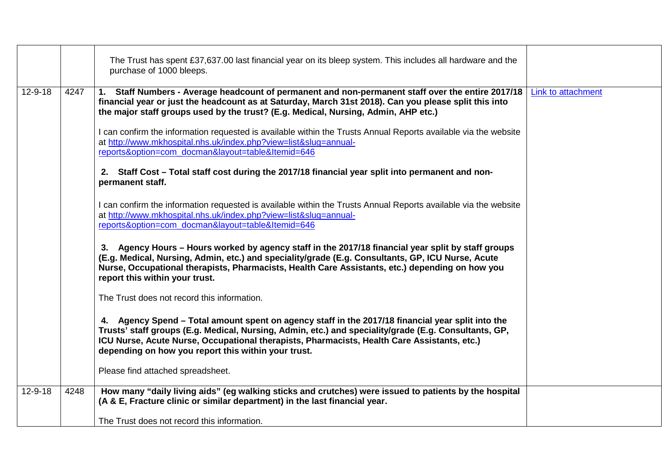|               |      | The Trust has spent £37,637.00 last financial year on its bleep system. This includes all hardware and the<br>purchase of 1000 bleeps.                                                                                                                                                                                                                                                                                                                                                                                                                                                                                                                               |                    |
|---------------|------|----------------------------------------------------------------------------------------------------------------------------------------------------------------------------------------------------------------------------------------------------------------------------------------------------------------------------------------------------------------------------------------------------------------------------------------------------------------------------------------------------------------------------------------------------------------------------------------------------------------------------------------------------------------------|--------------------|
| $12 - 9 - 18$ | 4247 | 1. Staff Numbers - Average headcount of permanent and non-permanent staff over the entire 2017/18<br>financial year or just the headcount as at Saturday, March 31st 2018). Can you please split this into<br>the major staff groups used by the trust? (E.g. Medical, Nursing, Admin, AHP etc.)<br>I can confirm the information requested is available within the Trusts Annual Reports available via the website<br>at http://www.mkhospital.nhs.uk/index.php?view=list&slug=annual-<br>reports&option=com_docman&layout=table&Itemid=646<br>2. Staff Cost – Total staff cost during the 2017/18 financial year split into permanent and non-<br>permanent staff. | Link to attachment |
|               |      | I can confirm the information requested is available within the Trusts Annual Reports available via the website<br>at http://www.mkhospital.nhs.uk/index.php?view=list&slug=annual-<br>reports&option=com_docman&layout=table&Itemid=646<br>3. Agency Hours – Hours worked by agency staff in the 2017/18 financial year split by staff groups<br>(E.g. Medical, Nursing, Admin, etc.) and speciality/grade (E.g. Consultants, GP, ICU Nurse, Acute<br>Nurse, Occupational therapists, Pharmacists, Health Care Assistants, etc.) depending on how you<br>report this within your trust.                                                                             |                    |
|               |      | The Trust does not record this information.<br>4. Agency Spend – Total amount spent on agency staff in the 2017/18 financial year split into the<br>Trusts' staff groups (E.g. Medical, Nursing, Admin, etc.) and speciality/grade (E.g. Consultants, GP,<br>ICU Nurse, Acute Nurse, Occupational therapists, Pharmacists, Health Care Assistants, etc.)<br>depending on how you report this within your trust.<br>Please find attached spreadsheet.                                                                                                                                                                                                                 |                    |
| $12 - 9 - 18$ | 4248 | How many "daily living aids" (eg walking sticks and crutches) were issued to patients by the hospital<br>(A & E, Fracture clinic or similar department) in the last financial year.<br>The Trust does not record this information.                                                                                                                                                                                                                                                                                                                                                                                                                                   |                    |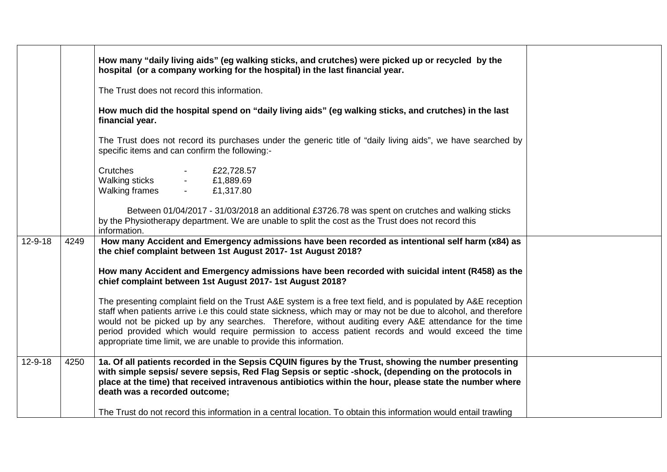|               |      | How many "daily living aids" (eg walking sticks, and crutches) were picked up or recycled by the<br>hospital (or a company working for the hospital) in the last financial year.                                                                                                                                                                                                                                                                                                                                       |  |
|---------------|------|------------------------------------------------------------------------------------------------------------------------------------------------------------------------------------------------------------------------------------------------------------------------------------------------------------------------------------------------------------------------------------------------------------------------------------------------------------------------------------------------------------------------|--|
|               |      | The Trust does not record this information.                                                                                                                                                                                                                                                                                                                                                                                                                                                                            |  |
|               |      | How much did the hospital spend on "daily living aids" (eg walking sticks, and crutches) in the last<br>financial year.                                                                                                                                                                                                                                                                                                                                                                                                |  |
|               |      | The Trust does not record its purchases under the generic title of "daily living aids", we have searched by<br>specific items and can confirm the following:-                                                                                                                                                                                                                                                                                                                                                          |  |
|               |      | Crutches<br>£22,728.57<br><b>Walking sticks</b><br>£1,889.69<br>Walking frames<br>£1,317.80<br>$\sim$                                                                                                                                                                                                                                                                                                                                                                                                                  |  |
|               |      | Between 01/04/2017 - 31/03/2018 an additional £3726.78 was spent on crutches and walking sticks<br>by the Physiotherapy department. We are unable to split the cost as the Trust does not record this<br>information.                                                                                                                                                                                                                                                                                                  |  |
| $12 - 9 - 18$ | 4249 | How many Accident and Emergency admissions have been recorded as intentional self harm (x84) as<br>the chief complaint between 1st August 2017-1st August 2018?                                                                                                                                                                                                                                                                                                                                                        |  |
|               |      | How many Accident and Emergency admissions have been recorded with suicidal intent (R458) as the<br>chief complaint between 1st August 2017-1st August 2018?                                                                                                                                                                                                                                                                                                                                                           |  |
|               |      | The presenting complaint field on the Trust A&E system is a free text field, and is populated by A&E reception<br>staff when patients arrive i.e this could state sickness, which may or may not be due to alcohol, and therefore<br>would not be picked up by any searches. Therefore, without auditing every A&E attendance for the time<br>period provided which would require permission to access patient records and would exceed the time<br>appropriate time limit, we are unable to provide this information. |  |
| $12 - 9 - 18$ | 4250 | 1a. Of all patients recorded in the Sepsis CQUIN figures by the Trust, showing the number presenting<br>with simple sepsis/ severe sepsis, Red Flag Sepsis or septic -shock, (depending on the protocols in<br>place at the time) that received intravenous antibiotics within the hour, please state the number where<br>death was a recorded outcome;                                                                                                                                                                |  |
|               |      | The Trust do not record this information in a central location. To obtain this information would entail trawling                                                                                                                                                                                                                                                                                                                                                                                                       |  |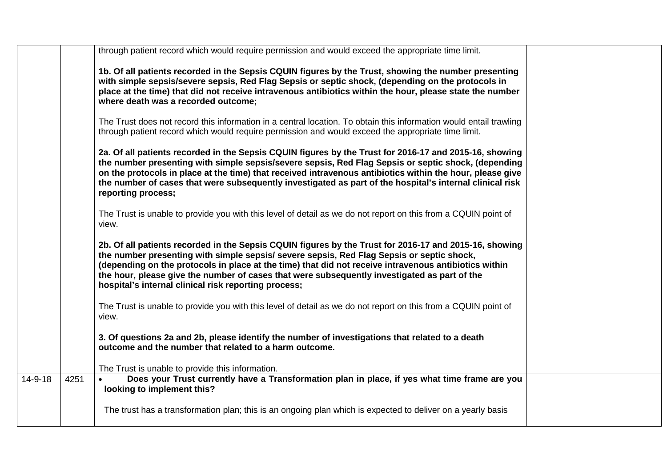|         |      | through patient record which would require permission and would exceed the appropriate time limit.                                                                                                                                                                                                                                                                                                                                                                   |
|---------|------|----------------------------------------------------------------------------------------------------------------------------------------------------------------------------------------------------------------------------------------------------------------------------------------------------------------------------------------------------------------------------------------------------------------------------------------------------------------------|
|         |      | 1b. Of all patients recorded in the Sepsis CQUIN figures by the Trust, showing the number presenting<br>with simple sepsis/severe sepsis, Red Flag Sepsis or septic shock, (depending on the protocols in<br>place at the time) that did not receive intravenous antibiotics within the hour, please state the number<br>where death was a recorded outcome;                                                                                                         |
|         |      | The Trust does not record this information in a central location. To obtain this information would entail trawling<br>through patient record which would require permission and would exceed the appropriate time limit.                                                                                                                                                                                                                                             |
|         |      | 2a. Of all patients recorded in the Sepsis CQUIN figures by the Trust for 2016-17 and 2015-16, showing<br>the number presenting with simple sepsis/severe sepsis, Red Flag Sepsis or septic shock, (depending<br>on the protocols in place at the time) that received intravenous antibiotics within the hour, please give<br>the number of cases that were subsequently investigated as part of the hospital's internal clinical risk<br>reporting process;         |
|         |      | The Trust is unable to provide you with this level of detail as we do not report on this from a CQUIN point of<br>view.                                                                                                                                                                                                                                                                                                                                              |
|         |      | 2b. Of all patients recorded in the Sepsis CQUIN figures by the Trust for 2016-17 and 2015-16, showing<br>the number presenting with simple sepsis/ severe sepsis, Red Flag Sepsis or septic shock,<br>(depending on the protocols in place at the time) that did not receive intravenous antibiotics within<br>the hour, please give the number of cases that were subsequently investigated as part of the<br>hospital's internal clinical risk reporting process; |
|         |      | The Trust is unable to provide you with this level of detail as we do not report on this from a CQUIN point of<br>view.                                                                                                                                                                                                                                                                                                                                              |
|         |      | 3. Of questions 2a and 2b, please identify the number of investigations that related to a death<br>outcome and the number that related to a harm outcome.                                                                                                                                                                                                                                                                                                            |
|         |      | The Trust is unable to provide this information.                                                                                                                                                                                                                                                                                                                                                                                                                     |
| 14-9-18 | 4251 | Does your Trust currently have a Transformation plan in place, if yes what time frame are you<br>looking to implement this?                                                                                                                                                                                                                                                                                                                                          |
|         |      | The trust has a transformation plan; this is an ongoing plan which is expected to deliver on a yearly basis                                                                                                                                                                                                                                                                                                                                                          |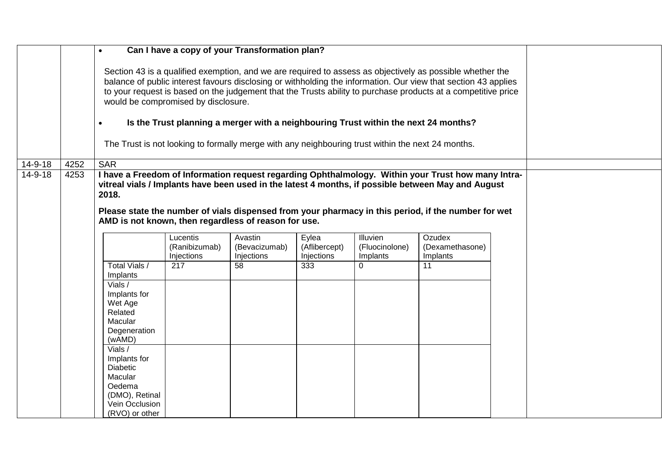|         |      | $\bullet$                                                                                                               |                                         | Can I have a copy of your Transformation plan?                                                                                                                                           |                                      |                                        |                                                                                                                                                                                                                                                                                                                                              |  |  |
|---------|------|-------------------------------------------------------------------------------------------------------------------------|-----------------------------------------|------------------------------------------------------------------------------------------------------------------------------------------------------------------------------------------|--------------------------------------|----------------------------------------|----------------------------------------------------------------------------------------------------------------------------------------------------------------------------------------------------------------------------------------------------------------------------------------------------------------------------------------------|--|--|
|         |      | $\bullet$                                                                                                               | would be compromised by disclosure.     | Is the Trust planning a merger with a neighbouring Trust within the next 24 months?<br>The Trust is not looking to formally merge with any neighbouring trust within the next 24 months. |                                      |                                        | Section 43 is a qualified exemption, and we are required to assess as objectively as possible whether the<br>balance of public interest favours disclosing or withholding the information. Our view that section 43 applies<br>to your request is based on the judgement that the Trusts ability to purchase products at a competitive price |  |  |
| 14-9-18 | 4252 | <b>SAR</b>                                                                                                              |                                         |                                                                                                                                                                                          |                                      |                                        |                                                                                                                                                                                                                                                                                                                                              |  |  |
| 14-9-18 | 4253 | 2018.<br>AMD is not known, then regardless of reason for use.                                                           |                                         |                                                                                                                                                                                          |                                      |                                        | I have a Freedom of Information request regarding Ophthalmology. Within your Trust how many Intra-<br>vitreal vials / Implants have been used in the latest 4 months, if possible between May and August<br>Please state the number of vials dispensed from your pharmacy in this period, if the number for wet                              |  |  |
|         |      |                                                                                                                         | Lucentis<br>(Ranibizumab)<br>Injections | Avastin<br>(Bevacizumab)<br>Injections                                                                                                                                                   | Eylea<br>(Aflibercept)<br>Injections | Illuvien<br>(Fluocinolone)<br>Implants | Ozudex<br>(Dexamethasone)<br>Implants                                                                                                                                                                                                                                                                                                        |  |  |
|         |      | Total Vials /<br>Implants                                                                                               | 217                                     | 58                                                                                                                                                                                       | 333                                  | $\Omega$                               | 11                                                                                                                                                                                                                                                                                                                                           |  |  |
|         |      | Vials /<br>Implants for<br>Wet Age<br>Related<br>Macular<br>Degeneration<br>(wAMD)                                      |                                         |                                                                                                                                                                                          |                                      |                                        |                                                                                                                                                                                                                                                                                                                                              |  |  |
|         |      | Vials $/$<br>Implants for<br><b>Diabetic</b><br>Macular<br>Oedema<br>(DMO), Retinal<br>Vein Occlusion<br>(RVO) or other |                                         |                                                                                                                                                                                          |                                      |                                        |                                                                                                                                                                                                                                                                                                                                              |  |  |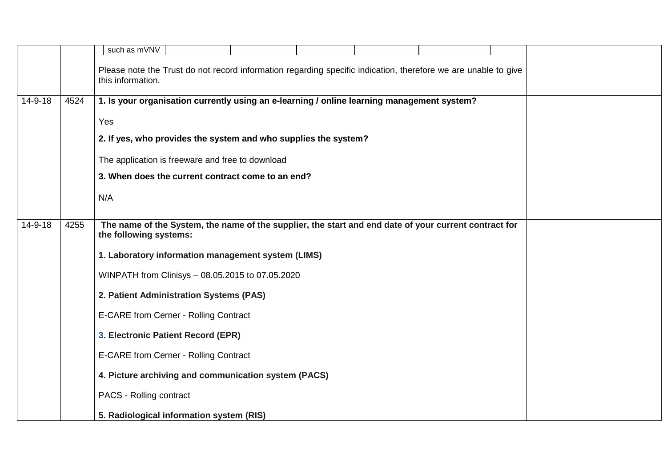|               |      | such as mVNV                                                                                                   |
|---------------|------|----------------------------------------------------------------------------------------------------------------|
|               |      | Please note the Trust do not record information regarding specific indication, therefore we are unable to give |
|               |      | this information.                                                                                              |
| 14-9-18       | 4524 | 1. Is your organisation currently using an e-learning / online learning management system?                     |
|               |      | Yes                                                                                                            |
|               |      |                                                                                                                |
|               |      | 2. If yes, who provides the system and who supplies the system?                                                |
|               |      | The application is freeware and free to download                                                               |
|               |      | 3. When does the current contract come to an end?                                                              |
|               |      | N/A                                                                                                            |
|               |      |                                                                                                                |
| $14 - 9 - 18$ | 4255 | The name of the System, the name of the supplier, the start and end date of your current contract for          |
|               |      | the following systems:                                                                                         |
|               |      | 1. Laboratory information management system (LIMS)                                                             |
|               |      | WINPATH from Clinisys - 08.05.2015 to 07.05.2020                                                               |
|               |      | 2. Patient Administration Systems (PAS)                                                                        |
|               |      | E-CARE from Cerner - Rolling Contract                                                                          |
|               |      | 3. Electronic Patient Record (EPR)                                                                             |
|               |      | E-CARE from Cerner - Rolling Contract                                                                          |
|               |      | 4. Picture archiving and communication system (PACS)                                                           |
|               |      | PACS - Rolling contract                                                                                        |
|               |      | 5. Radiological information system (RIS)                                                                       |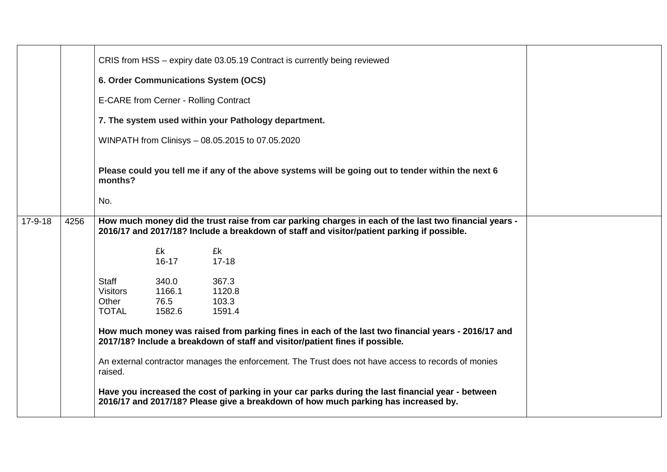| CRIS from HSS - expiry date 03.05.19 Contract is currently being reviewed<br>6. Order Communications System (OCS)<br>E-CARE from Cerner - Rolling Contract<br>7. The system used within your Pathology department.<br>WINPATH from Clinisys - 08.05.2015 to 07.05.2020<br>Please could you tell me if any of the above systems will be going out to tender within the next 6<br>months?<br>No.<br>$17-9-18$<br>How much money did the trust raise from car parking charges in each of the last two financial years -<br>4256<br>2016/17 and 2017/18? Include a breakdown of staff and visitor/patient parking if possible.<br>£k<br>£k<br>$16-17$<br>$17 - 18$<br>367.3<br><b>Staff</b><br>340.0<br><b>Visitors</b><br>1166.1<br>1120.8<br>Other<br>76.5<br>103.3<br><b>TOTAL</b><br>1591.4<br>1582.6<br>How much money was raised from parking fines in each of the last two financial years - 2016/17 and<br>2017/18? Include a breakdown of staff and visitor/patient fines if possible.<br>An external contractor manages the enforcement. The Trust does not have access to records of monies<br>raised.<br>Have you increased the cost of parking in your car parks during the last financial year - between |  |  |  |  |
|--------------------------------------------------------------------------------------------------------------------------------------------------------------------------------------------------------------------------------------------------------------------------------------------------------------------------------------------------------------------------------------------------------------------------------------------------------------------------------------------------------------------------------------------------------------------------------------------------------------------------------------------------------------------------------------------------------------------------------------------------------------------------------------------------------------------------------------------------------------------------------------------------------------------------------------------------------------------------------------------------------------------------------------------------------------------------------------------------------------------------------------------------------------------------------------------------------------------|--|--|--|--|
|                                                                                                                                                                                                                                                                                                                                                                                                                                                                                                                                                                                                                                                                                                                                                                                                                                                                                                                                                                                                                                                                                                                                                                                                                    |  |  |  |  |
|                                                                                                                                                                                                                                                                                                                                                                                                                                                                                                                                                                                                                                                                                                                                                                                                                                                                                                                                                                                                                                                                                                                                                                                                                    |  |  |  |  |
|                                                                                                                                                                                                                                                                                                                                                                                                                                                                                                                                                                                                                                                                                                                                                                                                                                                                                                                                                                                                                                                                                                                                                                                                                    |  |  |  |  |
|                                                                                                                                                                                                                                                                                                                                                                                                                                                                                                                                                                                                                                                                                                                                                                                                                                                                                                                                                                                                                                                                                                                                                                                                                    |  |  |  |  |
|                                                                                                                                                                                                                                                                                                                                                                                                                                                                                                                                                                                                                                                                                                                                                                                                                                                                                                                                                                                                                                                                                                                                                                                                                    |  |  |  |  |
|                                                                                                                                                                                                                                                                                                                                                                                                                                                                                                                                                                                                                                                                                                                                                                                                                                                                                                                                                                                                                                                                                                                                                                                                                    |  |  |  |  |
|                                                                                                                                                                                                                                                                                                                                                                                                                                                                                                                                                                                                                                                                                                                                                                                                                                                                                                                                                                                                                                                                                                                                                                                                                    |  |  |  |  |
|                                                                                                                                                                                                                                                                                                                                                                                                                                                                                                                                                                                                                                                                                                                                                                                                                                                                                                                                                                                                                                                                                                                                                                                                                    |  |  |  |  |
|                                                                                                                                                                                                                                                                                                                                                                                                                                                                                                                                                                                                                                                                                                                                                                                                                                                                                                                                                                                                                                                                                                                                                                                                                    |  |  |  |  |
|                                                                                                                                                                                                                                                                                                                                                                                                                                                                                                                                                                                                                                                                                                                                                                                                                                                                                                                                                                                                                                                                                                                                                                                                                    |  |  |  |  |
|                                                                                                                                                                                                                                                                                                                                                                                                                                                                                                                                                                                                                                                                                                                                                                                                                                                                                                                                                                                                                                                                                                                                                                                                                    |  |  |  |  |
|                                                                                                                                                                                                                                                                                                                                                                                                                                                                                                                                                                                                                                                                                                                                                                                                                                                                                                                                                                                                                                                                                                                                                                                                                    |  |  |  |  |
|                                                                                                                                                                                                                                                                                                                                                                                                                                                                                                                                                                                                                                                                                                                                                                                                                                                                                                                                                                                                                                                                                                                                                                                                                    |  |  |  |  |
| 2016/17 and 2017/18? Please give a breakdown of how much parking has increased by.                                                                                                                                                                                                                                                                                                                                                                                                                                                                                                                                                                                                                                                                                                                                                                                                                                                                                                                                                                                                                                                                                                                                 |  |  |  |  |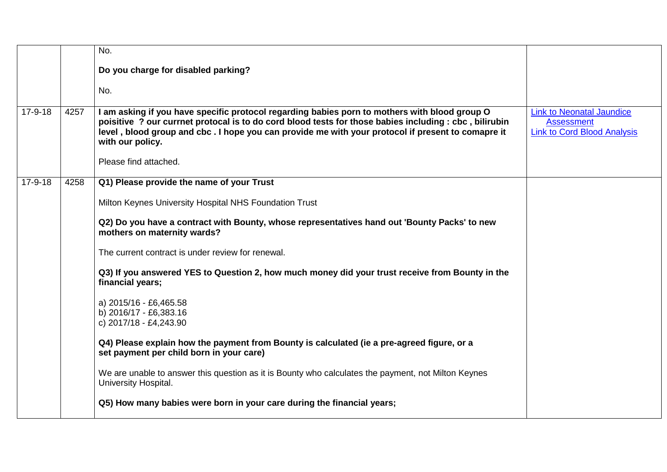|           |      | No.                                                                                                                                                                                                                                                                                                                              |                                                                                             |
|-----------|------|----------------------------------------------------------------------------------------------------------------------------------------------------------------------------------------------------------------------------------------------------------------------------------------------------------------------------------|---------------------------------------------------------------------------------------------|
|           |      | Do you charge for disabled parking?                                                                                                                                                                                                                                                                                              |                                                                                             |
|           |      | No.                                                                                                                                                                                                                                                                                                                              |                                                                                             |
| $17-9-18$ | 4257 | I am asking if you have specific protocol regarding babies porn to mothers with blood group O<br>poisitive ? our currnet protocal is to do cord blood tests for those babies including : cbc, bilirubin<br>level, blood group and cbc. I hope you can provide me with your protocol if present to comapre it<br>with our policy. | <b>Link to Neonatal Jaundice</b><br><b>Assessment</b><br><b>Link to Cord Blood Analysis</b> |
|           |      | Please find attached.                                                                                                                                                                                                                                                                                                            |                                                                                             |
| $17-9-18$ | 4258 | Q1) Please provide the name of your Trust                                                                                                                                                                                                                                                                                        |                                                                                             |
|           |      | Milton Keynes University Hospital NHS Foundation Trust                                                                                                                                                                                                                                                                           |                                                                                             |
|           |      | Q2) Do you have a contract with Bounty, whose representatives hand out 'Bounty Packs' to new<br>mothers on maternity wards?                                                                                                                                                                                                      |                                                                                             |
|           |      | The current contract is under review for renewal.                                                                                                                                                                                                                                                                                |                                                                                             |
|           |      | Q3) If you answered YES to Question 2, how much money did your trust receive from Bounty in the<br>financial years;                                                                                                                                                                                                              |                                                                                             |
|           |      | a) 2015/16 - £6,465.58<br>b) 2016/17 - £6,383.16<br>c) 2017/18 - £4,243.90                                                                                                                                                                                                                                                       |                                                                                             |
|           |      | Q4) Please explain how the payment from Bounty is calculated (ie a pre-agreed figure, or a<br>set payment per child born in your care)                                                                                                                                                                                           |                                                                                             |
|           |      | We are unable to answer this question as it is Bounty who calculates the payment, not Milton Keynes<br>University Hospital.                                                                                                                                                                                                      |                                                                                             |
|           |      | Q5) How many babies were born in your care during the financial years;                                                                                                                                                                                                                                                           |                                                                                             |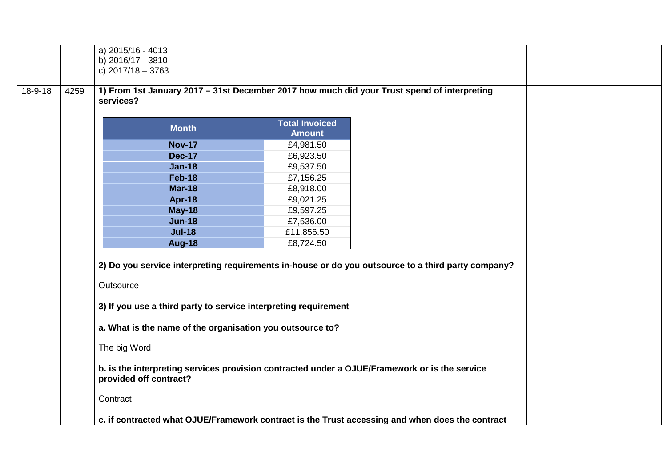|               |      | a) 2015/16 - 4013<br>b) 2016/17 - 3810<br>c) $2017/18 - 3763$                                                           |                                        |                                                                                                    |  |
|---------------|------|-------------------------------------------------------------------------------------------------------------------------|----------------------------------------|----------------------------------------------------------------------------------------------------|--|
| $18 - 9 - 18$ | 4259 | 1) From 1st January 2017 - 31st December 2017 how much did your Trust spend of interpreting<br>services?                |                                        |                                                                                                    |  |
|               |      | <b>Month</b>                                                                                                            | <b>Total Invoiced</b><br><b>Amount</b> |                                                                                                    |  |
|               |      | <b>Nov-17</b>                                                                                                           | £4,981.50                              |                                                                                                    |  |
|               |      | <b>Dec-17</b>                                                                                                           | £6,923.50                              |                                                                                                    |  |
|               |      | <b>Jan-18</b>                                                                                                           | £9,537.50                              |                                                                                                    |  |
|               |      | <b>Feb-18</b>                                                                                                           | £7,156.25                              |                                                                                                    |  |
|               |      | <b>Mar-18</b>                                                                                                           | £8,918.00                              |                                                                                                    |  |
|               |      | Apr-18                                                                                                                  | £9,021.25                              |                                                                                                    |  |
|               |      | <b>May-18</b>                                                                                                           | £9,597.25                              |                                                                                                    |  |
|               |      | <b>Jun-18</b>                                                                                                           | £7,536.00                              |                                                                                                    |  |
|               |      | <b>Jul-18</b>                                                                                                           | £11,856.50                             |                                                                                                    |  |
|               |      | <b>Aug-18</b>                                                                                                           | £8,724.50                              |                                                                                                    |  |
|               |      | Outsource<br>3) If you use a third party to service interpreting requirement                                            |                                        | 2) Do you service interpreting requirements in-house or do you outsource to a third party company? |  |
|               |      | a. What is the name of the organisation you outsource to?                                                               |                                        |                                                                                                    |  |
|               |      | The big Word                                                                                                            |                                        |                                                                                                    |  |
|               |      | b. is the interpreting services provision contracted under a OJUE/Framework or is the service<br>provided off contract? |                                        |                                                                                                    |  |
|               |      | Contract                                                                                                                |                                        |                                                                                                    |  |
|               |      | c. if contracted what OJUE/Framework contract is the Trust accessing and when does the contract                         |                                        |                                                                                                    |  |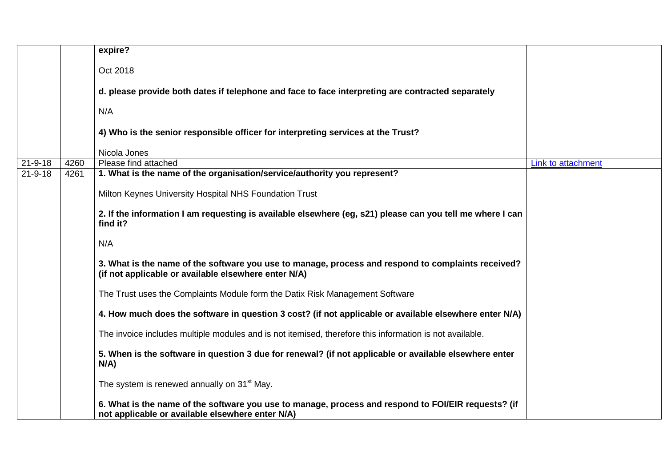|               |      | expire?                                                                                                                                                    |                    |
|---------------|------|------------------------------------------------------------------------------------------------------------------------------------------------------------|--------------------|
|               |      | Oct 2018                                                                                                                                                   |                    |
|               |      | d. please provide both dates if telephone and face to face interpreting are contracted separately                                                          |                    |
|               |      | N/A                                                                                                                                                        |                    |
|               |      | 4) Who is the senior responsible officer for interpreting services at the Trust?                                                                           |                    |
|               |      | Nicola Jones                                                                                                                                               |                    |
| $21 - 9 - 18$ | 4260 | Please find attached                                                                                                                                       | Link to attachment |
| $21 - 9 - 18$ | 4261 | 1. What is the name of the organisation/service/authority you represent?                                                                                   |                    |
|               |      | Milton Keynes University Hospital NHS Foundation Trust                                                                                                     |                    |
|               |      | 2. If the information I am requesting is available elsewhere (eg, s21) please can you tell me where I can<br>find it?                                      |                    |
|               |      | N/A                                                                                                                                                        |                    |
|               |      | 3. What is the name of the software you use to manage, process and respond to complaints received?<br>(if not applicable or available elsewhere enter N/A) |                    |
|               |      | The Trust uses the Complaints Module form the Datix Risk Management Software                                                                               |                    |
|               |      | 4. How much does the software in question 3 cost? (if not applicable or available elsewhere enter N/A)                                                     |                    |
|               |      | The invoice includes multiple modules and is not itemised, therefore this information is not available.                                                    |                    |
|               |      | 5. When is the software in question 3 due for renewal? (if not applicable or available elsewhere enter<br>$N/A$ )                                          |                    |
|               |      | The system is renewed annually on 31 <sup>st</sup> May.                                                                                                    |                    |
|               |      | 6. What is the name of the software you use to manage, process and respond to FOI/EIR requests? (if<br>not applicable or available elsewhere enter N/A)    |                    |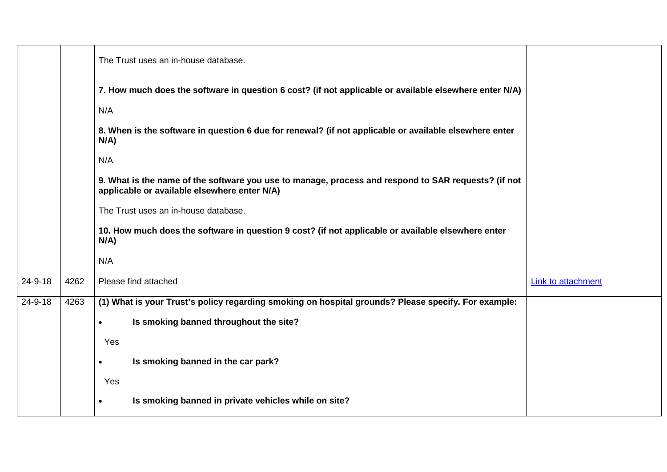|         |      | The Trust uses an in-house database.                                                                                                                |                           |
|---------|------|-----------------------------------------------------------------------------------------------------------------------------------------------------|---------------------------|
|         |      | 7. How much does the software in question 6 cost? (if not applicable or available elsewhere enter N/A)                                              |                           |
|         |      | N/A                                                                                                                                                 |                           |
|         |      | 8. When is the software in question 6 due for renewal? (if not applicable or available elsewhere enter<br>$N/A$ )                                   |                           |
|         |      | N/A                                                                                                                                                 |                           |
|         |      | 9. What is the name of the software you use to manage, process and respond to SAR requests? (if not<br>applicable or available elsewhere enter N/A) |                           |
|         |      | The Trust uses an in-house database.                                                                                                                |                           |
|         |      | 10. How much does the software in question 9 cost? (if not applicable or available elsewhere enter<br>$N/A$ )                                       |                           |
|         |      | N/A                                                                                                                                                 |                           |
| 24-9-18 | 4262 | Please find attached                                                                                                                                | <b>Link to attachment</b> |
| 24-9-18 | 4263 | (1) What is your Trust's policy regarding smoking on hospital grounds? Please specify. For example:                                                 |                           |
|         |      | Is smoking banned throughout the site?<br>$\bullet$                                                                                                 |                           |
|         |      | Yes                                                                                                                                                 |                           |
|         |      | Is smoking banned in the car park?<br>$\bullet$                                                                                                     |                           |
|         |      | Yes                                                                                                                                                 |                           |
|         |      | Is smoking banned in private vehicles while on site?<br>$\bullet$                                                                                   |                           |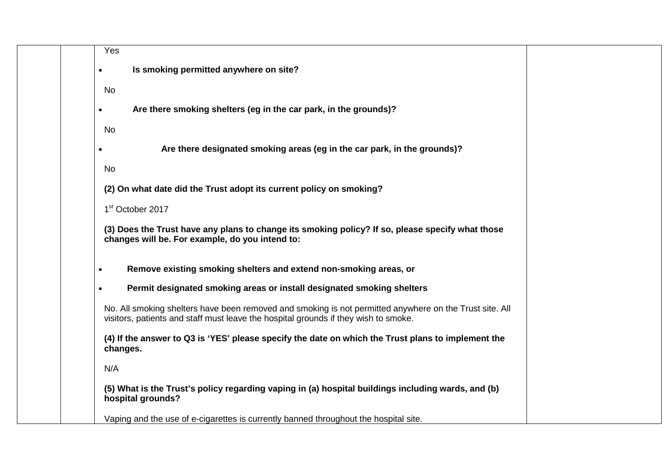| Yes                                                                                                                                                                                            |
|------------------------------------------------------------------------------------------------------------------------------------------------------------------------------------------------|
| Is smoking permitted anywhere on site?                                                                                                                                                         |
| No                                                                                                                                                                                             |
| Are there smoking shelters (eg in the car park, in the grounds)?                                                                                                                               |
|                                                                                                                                                                                                |
| No                                                                                                                                                                                             |
| Are there designated smoking areas (eg in the car park, in the grounds)?                                                                                                                       |
| No                                                                                                                                                                                             |
| (2) On what date did the Trust adopt its current policy on smoking?                                                                                                                            |
| 1 <sup>st</sup> October 2017                                                                                                                                                                   |
| (3) Does the Trust have any plans to change its smoking policy? If so, please specify what those<br>changes will be. For example, do you intend to:                                            |
| Remove existing smoking shelters and extend non-smoking areas, or                                                                                                                              |
| Permit designated smoking areas or install designated smoking shelters                                                                                                                         |
| No. All smoking shelters have been removed and smoking is not permitted anywhere on the Trust site. All<br>visitors, patients and staff must leave the hospital grounds if they wish to smoke. |
| (4) If the answer to Q3 is 'YES' please specify the date on which the Trust plans to implement the<br>changes.                                                                                 |
| N/A                                                                                                                                                                                            |
| (5) What is the Trust's policy regarding vaping in (a) hospital buildings including wards, and (b)<br>hospital grounds?                                                                        |
| Vaping and the use of e-cigarettes is currently banned throughout the hospital site.                                                                                                           |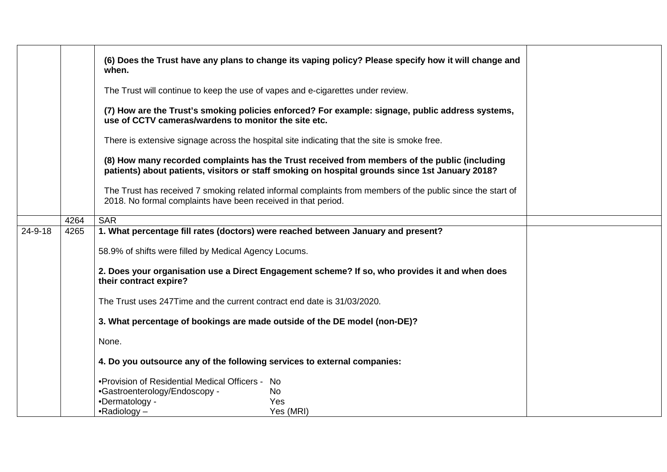|               |      | (6) Does the Trust have any plans to change its vaping policy? Please specify how it will change and<br>when.                                                                                    |
|---------------|------|--------------------------------------------------------------------------------------------------------------------------------------------------------------------------------------------------|
|               |      | The Trust will continue to keep the use of vapes and e-cigarettes under review.                                                                                                                  |
|               |      | (7) How are the Trust's smoking policies enforced? For example: signage, public address systems,<br>use of CCTV cameras/wardens to monitor the site etc.                                         |
|               |      | There is extensive signage across the hospital site indicating that the site is smoke free.                                                                                                      |
|               |      | (8) How many recorded complaints has the Trust received from members of the public (including<br>patients) about patients, visitors or staff smoking on hospital grounds since 1st January 2018? |
|               |      | The Trust has received 7 smoking related informal complaints from members of the public since the start of<br>2018. No formal complaints have been received in that period.                      |
|               | 4264 | <b>SAR</b>                                                                                                                                                                                       |
| $24 - 9 - 18$ | 4265 | 1. What percentage fill rates (doctors) were reached between January and present?                                                                                                                |
|               |      |                                                                                                                                                                                                  |
|               |      | 58.9% of shifts were filled by Medical Agency Locums.                                                                                                                                            |
|               |      | 2. Does your organisation use a Direct Engagement scheme? If so, who provides it and when does<br>their contract expire?                                                                         |
|               |      | The Trust uses 247Time and the current contract end date is 31/03/2020.                                                                                                                          |
|               |      | 3. What percentage of bookings are made outside of the DE model (non-DE)?                                                                                                                        |
|               |      | None.                                                                                                                                                                                            |
|               |      | 4. Do you outsource any of the following services to external companies:                                                                                                                         |
|               |      | . Provision of Residential Medical Officers - No                                                                                                                                                 |
|               |      | •Gastroenterology/Endoscopy -<br>No                                                                                                                                                              |
|               |      | •Dermatology -<br>Yes                                                                                                                                                                            |
|               |      | $\bullet$ Radiology –<br>Yes (MRI)                                                                                                                                                               |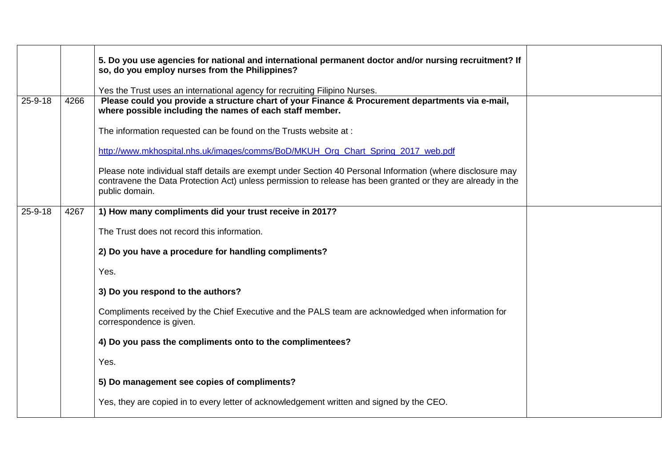|               |      | 5. Do you use agencies for national and international permanent doctor and/or nursing recruitment? If<br>so, do you employ nurses from the Philippines?                                                                                       |  |
|---------------|------|-----------------------------------------------------------------------------------------------------------------------------------------------------------------------------------------------------------------------------------------------|--|
|               |      | Yes the Trust uses an international agency for recruiting Filipino Nurses.                                                                                                                                                                    |  |
| $25 - 9 - 18$ | 4266 | Please could you provide a structure chart of your Finance & Procurement departments via e-mail,<br>where possible including the names of each staff member.                                                                                  |  |
|               |      | The information requested can be found on the Trusts website at :                                                                                                                                                                             |  |
|               |      | http://www.mkhospital.nhs.uk/images/comms/BoD/MKUH Org Chart Spring 2017 web.pdf                                                                                                                                                              |  |
|               |      | Please note individual staff details are exempt under Section 40 Personal Information (where disclosure may<br>contravene the Data Protection Act) unless permission to release has been granted or they are already in the<br>public domain. |  |
| $25 - 9 - 18$ | 4267 | 1) How many compliments did your trust receive in 2017?                                                                                                                                                                                       |  |
|               |      | The Trust does not record this information.                                                                                                                                                                                                   |  |
|               |      | 2) Do you have a procedure for handling compliments?                                                                                                                                                                                          |  |
|               |      | Yes.                                                                                                                                                                                                                                          |  |
|               |      | 3) Do you respond to the authors?                                                                                                                                                                                                             |  |
|               |      | Compliments received by the Chief Executive and the PALS team are acknowledged when information for<br>correspondence is given.                                                                                                               |  |
|               |      | 4) Do you pass the compliments onto to the complimentees?                                                                                                                                                                                     |  |
|               |      | Yes.                                                                                                                                                                                                                                          |  |
|               |      | 5) Do management see copies of compliments?                                                                                                                                                                                                   |  |
|               |      | Yes, they are copied in to every letter of acknowledgement written and signed by the CEO.                                                                                                                                                     |  |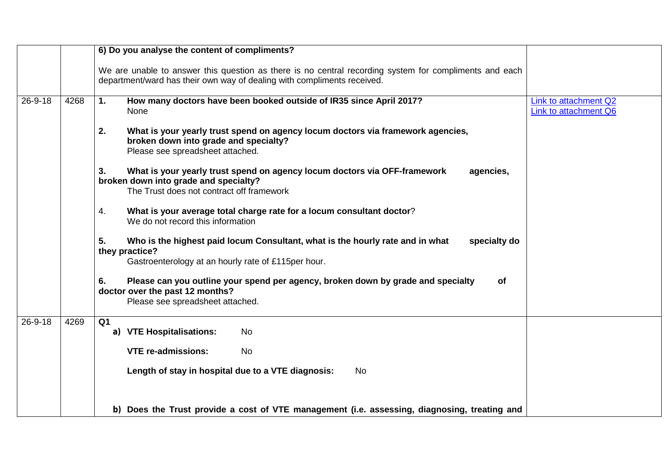|               |      | 6) Do you analyse the content of compliments?                                                                                                                                      |                                                |
|---------------|------|------------------------------------------------------------------------------------------------------------------------------------------------------------------------------------|------------------------------------------------|
|               |      | We are unable to answer this question as there is no central recording system for compliments and each<br>department/ward has their own way of dealing with compliments received.  |                                                |
| 26-9-18       | 4268 | How many doctors have been booked outside of IR35 since April 2017?<br>1.<br>None                                                                                                  | Link to attachment Q2<br>Link to attachment Q6 |
|               |      | 2.<br>What is your yearly trust spend on agency locum doctors via framework agencies,<br>broken down into grade and specialty?<br>Please see spreadsheet attached.                 |                                                |
|               |      | What is your yearly trust spend on agency locum doctors via OFF-framework<br>3.<br>agencies,<br>broken down into grade and specialty?<br>The Trust does not contract off framework |                                                |
|               |      | 4.<br>What is your average total charge rate for a locum consultant doctor?                                                                                                        |                                                |
|               |      | We do not record this information                                                                                                                                                  |                                                |
|               |      | 5.<br>Who is the highest paid locum Consultant, what is the hourly rate and in what<br>specialty do<br>they practice?<br>Gastroenterology at an hourly rate of £115per hour.       |                                                |
|               |      | 6.<br>Please can you outline your spend per agency, broken down by grade and specialty<br><b>of</b><br>doctor over the past 12 months?<br>Please see spreadsheet attached.         |                                                |
| $26 - 9 - 18$ | 4269 | Q <sub>1</sub>                                                                                                                                                                     |                                                |
|               |      | a) VTE Hospitalisations:<br>No                                                                                                                                                     |                                                |
|               |      | <b>VTE re-admissions:</b><br><b>No</b>                                                                                                                                             |                                                |
|               |      | Length of stay in hospital due to a VTE diagnosis:<br><b>No</b>                                                                                                                    |                                                |
|               |      | b) Does the Trust provide a cost of VTE management (i.e. assessing, diagnosing, treating and                                                                                       |                                                |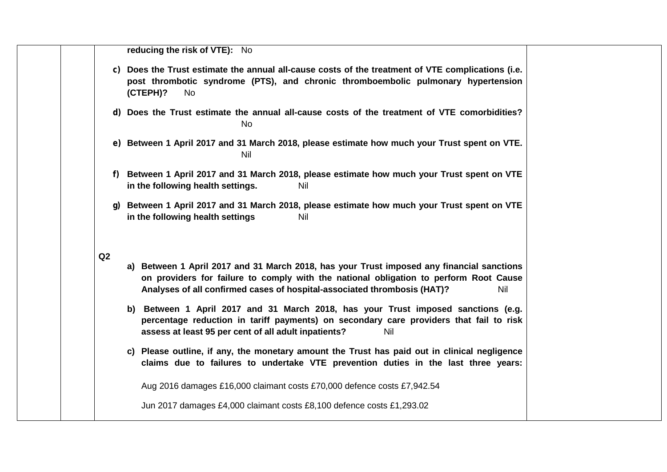|    | reducing the risk of VTE): No                                                                                                                                                                                                                                         |
|----|-----------------------------------------------------------------------------------------------------------------------------------------------------------------------------------------------------------------------------------------------------------------------|
|    | c) Does the Trust estimate the annual all-cause costs of the treatment of VTE complications (i.e.<br>post thrombotic syndrome (PTS), and chronic thromboembolic pulmonary hypertension<br>(CTEPH)?<br>No                                                              |
|    | d) Does the Trust estimate the annual all-cause costs of the treatment of VTE comorbidities?<br><b>No</b>                                                                                                                                                             |
|    | e) Between 1 April 2017 and 31 March 2018, please estimate how much your Trust spent on VTE.<br><b>Nil</b>                                                                                                                                                            |
|    | f) Between 1 April 2017 and 31 March 2018, please estimate how much your Trust spent on VTE<br>in the following health settings.<br>Nil                                                                                                                               |
| q) | Between 1 April 2017 and 31 March 2018, please estimate how much your Trust spent on VTE<br>in the following health settings<br>Nil                                                                                                                                   |
| Q2 | a) Between 1 April 2017 and 31 March 2018, has your Trust imposed any financial sanctions<br>on providers for failure to comply with the national obligation to perform Root Cause<br>Analyses of all confirmed cases of hospital-associated thrombosis (HAT)?<br>Nil |
|    | b) Between 1 April 2017 and 31 March 2018, has your Trust imposed sanctions (e.g.<br>percentage reduction in tariff payments) on secondary care providers that fail to risk<br>assess at least 95 per cent of all adult inpatients?<br>Nil                            |
|    | c) Please outline, if any, the monetary amount the Trust has paid out in clinical negligence<br>claims due to failures to undertake VTE prevention duties in the last three years:                                                                                    |
|    | Aug 2016 damages £16,000 claimant costs £70,000 defence costs £7,942.54                                                                                                                                                                                               |
|    | Jun 2017 damages £4,000 claimant costs £8,100 defence costs £1,293.02                                                                                                                                                                                                 |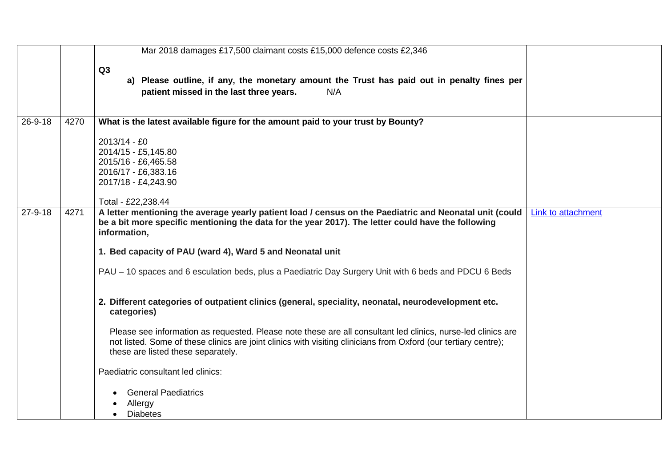|               |      | Mar 2018 damages £17,500 claimant costs £15,000 defence costs £2,346                                                                                                                                                                                                  |                           |
|---------------|------|-----------------------------------------------------------------------------------------------------------------------------------------------------------------------------------------------------------------------------------------------------------------------|---------------------------|
|               |      | Q3<br>a) Please outline, if any, the monetary amount the Trust has paid out in penalty fines per<br>patient missed in the last three years.<br>N/A                                                                                                                    |                           |
| 26-9-18       | 4270 | What is the latest available figure for the amount paid to your trust by Bounty?                                                                                                                                                                                      |                           |
|               |      | 2013/14 - £0<br>2014/15 - £5,145.80<br>2015/16 - £6,465.58<br>2016/17 - £6,383.16<br>2017/18 - £4,243.90<br>Total - £22,238.44                                                                                                                                        |                           |
| $27 - 9 - 18$ | 4271 | A letter mentioning the average yearly patient load / census on the Paediatric and Neonatal unit (could<br>be a bit more specific mentioning the data for the year 2017). The letter could have the following<br>information,                                         | <b>Link to attachment</b> |
|               |      | 1. Bed capacity of PAU (ward 4), Ward 5 and Neonatal unit                                                                                                                                                                                                             |                           |
|               |      | PAU – 10 spaces and 6 esculation beds, plus a Paediatric Day Surgery Unit with 6 beds and PDCU 6 Beds                                                                                                                                                                 |                           |
|               |      | 2. Different categories of outpatient clinics (general, speciality, neonatal, neurodevelopment etc.<br>categories)                                                                                                                                                    |                           |
|               |      | Please see information as requested. Please note these are all consultant led clinics, nurse-led clinics are<br>not listed. Some of these clinics are joint clinics with visiting clinicians from Oxford (our tertiary centre);<br>these are listed these separately. |                           |
|               |      | Paediatric consultant led clinics:                                                                                                                                                                                                                                    |                           |
|               |      | <b>General Paediatrics</b><br>Allergy<br><b>Diabetes</b>                                                                                                                                                                                                              |                           |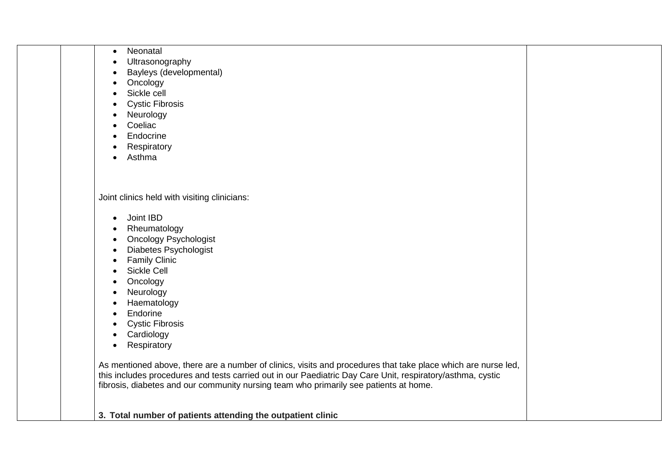| Neonatal<br>$\bullet$                                                                                         |  |
|---------------------------------------------------------------------------------------------------------------|--|
| Ultrasonography<br>$\bullet$                                                                                  |  |
| Bayleys (developmental)<br>$\bullet$                                                                          |  |
| Oncology<br>$\bullet$                                                                                         |  |
| Sickle cell<br>$\bullet$                                                                                      |  |
| <b>Cystic Fibrosis</b><br>$\bullet$                                                                           |  |
| Neurology<br>$\bullet$                                                                                        |  |
| Coeliac                                                                                                       |  |
| Endocrine                                                                                                     |  |
| Respiratory                                                                                                   |  |
| Asthma<br>$\bullet$                                                                                           |  |
|                                                                                                               |  |
|                                                                                                               |  |
| Joint clinics held with visiting clinicians:                                                                  |  |
|                                                                                                               |  |
| Joint IBD<br>$\bullet$                                                                                        |  |
| Rheumatology<br>$\bullet$                                                                                     |  |
| <b>Oncology Psychologist</b><br>$\bullet$                                                                     |  |
| <b>Diabetes Psychologist</b><br>$\bullet$                                                                     |  |
| <b>Family Clinic</b><br>$\bullet$                                                                             |  |
| Sickle Cell<br>$\bullet$                                                                                      |  |
| Oncology                                                                                                      |  |
| Neurology                                                                                                     |  |
| Haematology                                                                                                   |  |
| Endorine<br>$\bullet$                                                                                         |  |
| <b>Cystic Fibrosis</b><br>$\bullet$                                                                           |  |
| Cardiology<br>$\bullet$                                                                                       |  |
| Respiratory<br>$\bullet$                                                                                      |  |
|                                                                                                               |  |
| As mentioned above, there are a number of clinics, visits and procedures that take place which are nurse led, |  |
| this includes procedures and tests carried out in our Paediatric Day Care Unit, respiratory/asthma, cystic    |  |
| fibrosis, diabetes and our community nursing team who primarily see patients at home.                         |  |
|                                                                                                               |  |
| 3. Total number of patients attending the outpatient clinic                                                   |  |
|                                                                                                               |  |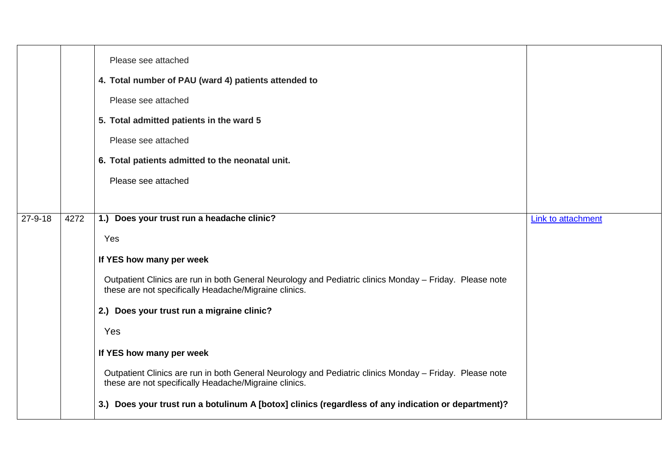|         |      | Please see attached<br>4. Total number of PAU (ward 4) patients attended to<br>Please see attached<br>5. Total admitted patients in the ward 5<br>Please see attached<br>6. Total patients admitted to the neonatal unit.<br>Please see attached |                    |
|---------|------|--------------------------------------------------------------------------------------------------------------------------------------------------------------------------------------------------------------------------------------------------|--------------------|
| 27-9-18 | 4272 | 1.) Does your trust run a headache clinic?                                                                                                                                                                                                       | Link to attachment |
|         |      | Yes                                                                                                                                                                                                                                              |                    |
|         |      | If YES how many per week                                                                                                                                                                                                                         |                    |
|         |      | Outpatient Clinics are run in both General Neurology and Pediatric clinics Monday - Friday. Please note<br>these are not specifically Headache/Migraine clinics.                                                                                 |                    |
|         |      | 2.) Does your trust run a migraine clinic?                                                                                                                                                                                                       |                    |
|         |      | Yes                                                                                                                                                                                                                                              |                    |
|         |      | If YES how many per week                                                                                                                                                                                                                         |                    |
|         |      | Outpatient Clinics are run in both General Neurology and Pediatric clinics Monday - Friday. Please note<br>these are not specifically Headache/Migraine clinics.                                                                                 |                    |
|         |      | 3.) Does your trust run a botulinum A [botox] clinics (regardless of any indication or department)?                                                                                                                                              |                    |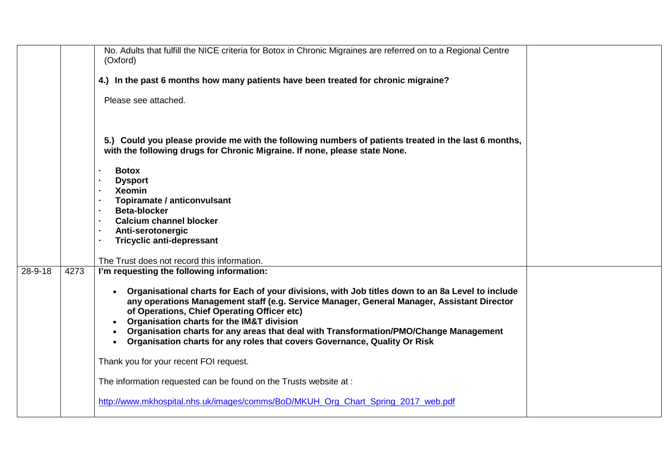|               |      | No. Adults that fulfill the NICE criteria for Botox in Chronic Migraines are referred on to a Regional Centre<br>(Oxford)                                                                                                                                                                                                                                                                                                                                                                  |  |
|---------------|------|--------------------------------------------------------------------------------------------------------------------------------------------------------------------------------------------------------------------------------------------------------------------------------------------------------------------------------------------------------------------------------------------------------------------------------------------------------------------------------------------|--|
|               |      | 4.) In the past 6 months how many patients have been treated for chronic migraine?                                                                                                                                                                                                                                                                                                                                                                                                         |  |
|               |      | Please see attached.                                                                                                                                                                                                                                                                                                                                                                                                                                                                       |  |
|               |      | 5.) Could you please provide me with the following numbers of patients treated in the last 6 months,<br>with the following drugs for Chronic Migraine. If none, please state None.                                                                                                                                                                                                                                                                                                         |  |
|               |      | <b>Botox</b><br>$\mathbf{r}$                                                                                                                                                                                                                                                                                                                                                                                                                                                               |  |
|               |      | <b>Dysport</b><br>$\blacksquare$                                                                                                                                                                                                                                                                                                                                                                                                                                                           |  |
|               |      | <b>Xeomin</b>                                                                                                                                                                                                                                                                                                                                                                                                                                                                              |  |
|               |      | Topiramate / anticonvulsant                                                                                                                                                                                                                                                                                                                                                                                                                                                                |  |
|               |      | <b>Beta-blocker</b>                                                                                                                                                                                                                                                                                                                                                                                                                                                                        |  |
|               |      | <b>Calcium channel blocker</b><br>$\mathbf{r}$                                                                                                                                                                                                                                                                                                                                                                                                                                             |  |
|               |      | Anti-serotonergic<br>$\bullet$<br><b>Tricyclic anti-depressant</b><br>$\mathbf{r}$                                                                                                                                                                                                                                                                                                                                                                                                         |  |
|               |      |                                                                                                                                                                                                                                                                                                                                                                                                                                                                                            |  |
|               |      | The Trust does not record this information.                                                                                                                                                                                                                                                                                                                                                                                                                                                |  |
| $28 - 9 - 18$ | 4273 | I'm requesting the following information:                                                                                                                                                                                                                                                                                                                                                                                                                                                  |  |
|               |      | • Organisational charts for Each of your divisions, with Job titles down to an 8a Level to include<br>any operations Management staff (e.g. Service Manager, General Manager, Assistant Director<br>of Operations, Chief Operating Officer etc)<br><b>Organisation charts for the IM&amp;T division</b><br>Organisation charts for any areas that deal with Transformation/PMO/Change Management<br>Organisation charts for any roles that covers Governance, Quality Or Risk<br>$\bullet$ |  |
|               |      | Thank you for your recent FOI request.                                                                                                                                                                                                                                                                                                                                                                                                                                                     |  |
|               |      | The information requested can be found on the Trusts website at :                                                                                                                                                                                                                                                                                                                                                                                                                          |  |
|               |      | http://www.mkhospital.nhs.uk/images/comms/BoD/MKUH Org Chart Spring 2017 web.pdf                                                                                                                                                                                                                                                                                                                                                                                                           |  |